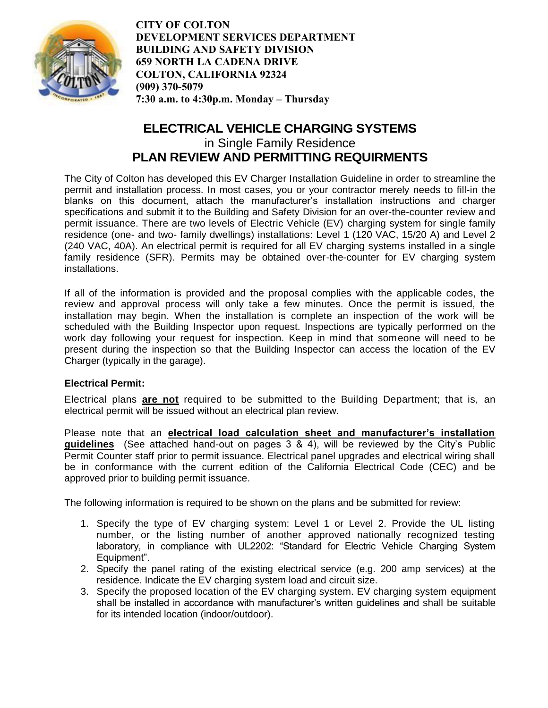

# **ELECTRICAL VEHICLE CHARGING SYSTEMS**  in Single Family Residence **PLAN REVIEW AND PERMITTING REQUIRMENTS**

The City of Colton has developed this EV Charger Installation Guideline in order to streamline the permit and installation process. In most cases, you or your contractor merely needs to fill-in the blanks on this document, attach the manufacturer's installation instructions and charger specifications and submit it to the Building and Safety Division for an over-the-counter review and permit issuance. There are two levels of Electric Vehicle (EV) charging system for single family residence (one- and two- family dwellings) installations: Level 1 (120 VAC, 15/20 A) and Level 2 (240 VAC, 40A). An electrical permit is required for all EV charging systems installed in a single family residence (SFR). Permits may be obtained over-the-counter for EV charging system installations.

If all of the information is provided and the proposal complies with the applicable codes, the review and approval process will only take a few minutes. Once the permit is issued, the installation may begin. When the installation is complete an inspection of the work will be scheduled with the Building Inspector upon request. Inspections are typically performed on the work day following your request for inspection. Keep in mind that someone will need to be present during the inspection so that the Building Inspector can access the location of the EV Charger (typically in the garage).

## **Electrical Permit:**

Electrical plans **are not** required to be submitted to the Building Department; that is, an electrical permit will be issued without an electrical plan review.

Please note that an **electrical load calculation sheet and manufacturer's installation guidelines** (See attached hand-out on pages 3 & 4), will be reviewed by the City's Public Permit Counter staff prior to permit issuance. Electrical panel upgrades and electrical wiring shall be in conformance with the current edition of the California Electrical Code (CEC) and be approved prior to building permit issuance.

The following information is required to be shown on the plans and be submitted for review:

- 1. Specify the type of EV charging system: Level 1 or Level 2. Provide the UL listing number, or the listing number of another approved nationally recognized testing laboratory, in compliance with UL2202: "Standard for Electric Vehicle Charging System Equipment".
- 2. Specify the panel rating of the existing electrical service (e.g. 200 amp services) at the residence. Indicate the EV charging system load and circuit size.
- 3. Specify the proposed location of the EV charging system. EV charging system equipment shall be installed in accordance with manufacturer's written guidelines and shall be suitable for its intended location (indoor/outdoor).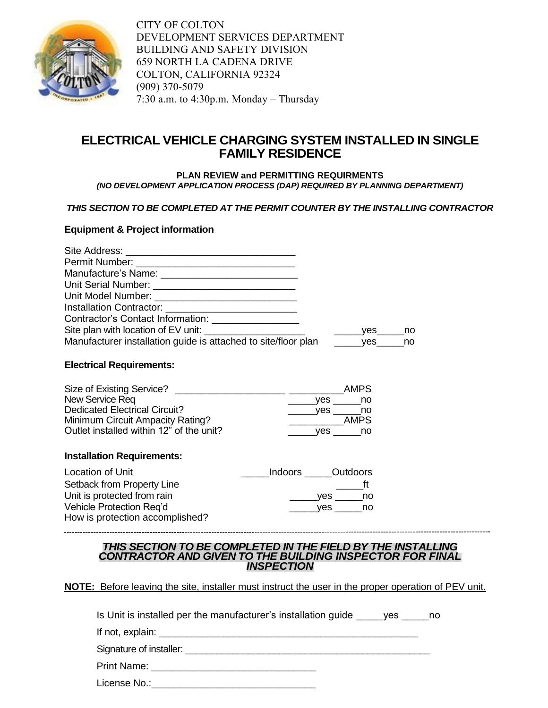

# **ELECTRICAL VEHICLE CHARGING SYSTEM INSTALLED IN SINGLE FAMILY RESIDENCE**

#### **PLAN REVIEW and PERMITTING REQUIRMENTS**  *(NO DEVELOPMENT APPLICATION PROCESS (DAP) REQUIRED BY PLANNING DEPARTMENT)*

## *THIS SECTION TO BE COMPLETED AT THE PERMIT COUNTER BY THE INSTALLING CONTRACTOR*

## **Equipment & Project information**

| Contractor's Contact Information: ________________             |                     |  |
|----------------------------------------------------------------|---------------------|--|
|                                                                | yes no              |  |
| Manufacturer installation guide is attached to site/floor plan | ________yes______no |  |

## **Electrical Requirements:**

| Size of Existing Service?                |     | AMPS. |
|------------------------------------------|-----|-------|
| New Service Req                          | ves | no    |
| <b>Dedicated Electrical Circuit?</b>     | ves | no.   |
| Minimum Circuit Ampacity Rating?         |     | AMPS. |
| Outlet installed within 12" of the unit? | ves | no.   |

### **Installation Requirements:**

| Location of Unit                | Indoors Outdoors |              |
|---------------------------------|------------------|--------------|
| Setback from Property Line      |                  |              |
| Unit is protected from rain     | ves              | no.          |
| Vehicle Protection Reg'd        |                  | yes<br>no no |
| How is protection accomplished? |                  |              |

#### *THIS SECTION TO BE COMPLETED IN THE FIELD BY THE INSTALLING CONTRACTOR AND GIVEN TO THE BUILDING INSPECTOR FOR FINAL INSPECTION*

## **NOTE:** Before leaving the site, installer must instruct the user in the proper operation of PEV unit.

|                  | Is Unit is installed per the manufacturer's installation guide | ves |  |
|------------------|----------------------------------------------------------------|-----|--|
| If not, explain: |                                                                |     |  |

Signature of installer: \_\_\_\_\_\_\_\_\_\_\_\_\_\_\_\_\_\_\_\_\_\_\_\_\_\_\_\_\_\_\_\_\_\_\_\_\_\_\_\_\_\_\_\_\_\_\_

Print Name: \_\_\_\_\_\_\_\_\_\_\_\_\_\_\_\_\_\_\_\_\_\_\_\_\_\_\_\_\_\_

License No.:\_\_\_\_\_\_\_\_\_\_\_\_\_\_\_\_\_\_\_\_\_\_\_\_\_\_\_\_\_\_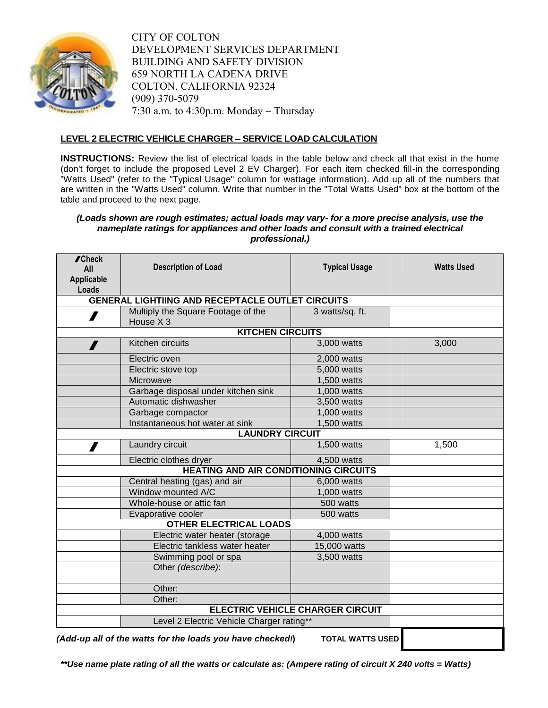

### **LEVEL 2 ELECTRIC VEHICLE CHARGER – SERVICE LOAD CALCULATION**

**INSTRUCTIONS:** Review the list of electrical loads in the table below and check all that exist in the home (don't forget to include the proposed Level 2 EV Charger). For each item checked fill-in the corresponding "Watts Used" (refer to the "Typical Usage" column for wattage information). Add up all of the numbers that are written in the "Watts Used" column. Write that number in the "Total Watts Used" box at the bottom of the table and proceed to the next page.

#### *(Loads shown are rough estimates; actual loads may vary- for a more precise analysis, use the nameplate ratings for appliances and other loads and consult with a trained electrical professional.)*

| <b>∕Check</b><br>All<br><b>Applicable</b><br>Loads | <b>Description of Load</b>                              | <b>Typical Usage</b>                    | <b>Watts Used</b> |
|----------------------------------------------------|---------------------------------------------------------|-----------------------------------------|-------------------|
|                                                    | <b>GENERAL LIGHTIING AND RECEPTACLE OUTLET CIRCUITS</b> |                                         |                   |
| $\boldsymbol{I}$                                   | Multiply the Square Footage of the<br>House X 3         | 3 watts/sq. ft.                         |                   |
|                                                    | <b>KITCHEN CIRCUITS</b>                                 |                                         |                   |
|                                                    | Kitchen circuits                                        | 3,000 watts                             | 3,000             |
|                                                    | Electric oven                                           | 2,000 watts                             |                   |
|                                                    | Electric stove top                                      | 5,000 watts                             |                   |
|                                                    | Microwave                                               | 1,500 watts                             |                   |
|                                                    | Garbage disposal under kitchen sink                     | 1,000 watts                             |                   |
|                                                    | Automatic dishwasher                                    | 3,500 watts                             |                   |
|                                                    | Garbage compactor                                       | 1,000 watts                             |                   |
|                                                    | Instantaneous hot water at sink                         | 1,500 watts                             |                   |
|                                                    | <b>LAUNDRY CIRCUIT</b>                                  |                                         |                   |
| $\mathbf{Z}$                                       | Laundry circuit                                         | 1,500 watts                             | 1,500             |
|                                                    | Electric clothes dryer                                  | 4,500 watts                             |                   |
|                                                    | <b>HEATING AND AIR CONDITIONING CIRCUITS</b>            |                                         |                   |
|                                                    | Central heating (gas) and air                           | 6,000 watts                             |                   |
|                                                    | Window mounted A/C                                      | 1,000 watts                             |                   |
|                                                    | Whole-house or attic fan                                | 500 watts                               |                   |
|                                                    | Evaporative cooler                                      | 500 watts                               |                   |
|                                                    | <b>OTHER ELECTRICAL LOADS</b>                           |                                         |                   |
|                                                    | Electric water heater (storage                          | 4,000 watts                             |                   |
|                                                    | Electric tankless water heater                          | 15,000 watts                            |                   |
|                                                    | Swimming pool or spa                                    | 3,500 watts                             |                   |
|                                                    | Other (describe):                                       |                                         |                   |
|                                                    | Other:                                                  |                                         |                   |
|                                                    | Other:                                                  |                                         |                   |
|                                                    |                                                         | <b>ELECTRIC VEHICLE CHARGER CIRCUIT</b> |                   |
|                                                    | Level 2 Electric Vehicle Charger rating**               |                                         |                   |

*(Add-up all of the watts for the loads you have checked***/) TOTAL WATTS USED**

*\*\*Use name plate rating of all the watts or calculate as: (Ampere rating of circuit X 240 volts = Watts)*